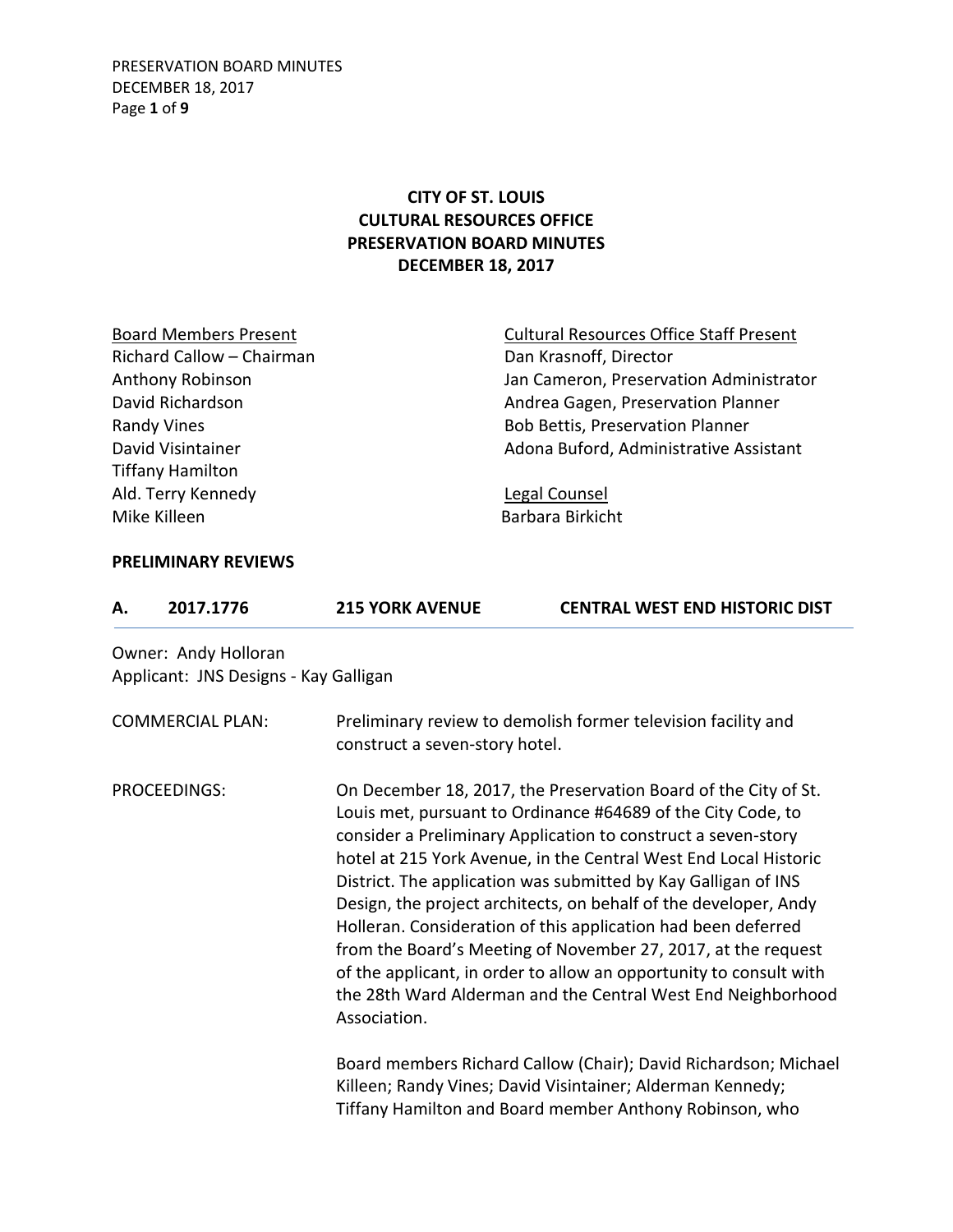## **CITY OF ST. LOUIS CULTURAL RESOURCES OFFICE PRESERVATION BOARD MINUTES DECEMBER 18, 2017**

| <b>Board Members Present</b> | <b>Cultural Resources Office Staff Present</b> |
|------------------------------|------------------------------------------------|
| Richard Callow - Chairman    | Dan Krasnoff, Director                         |
| <b>Anthony Robinson</b>      | Jan Cameron, Preservation Administrator        |
| David Richardson             | Andrea Gagen, Preservation Planner             |
| <b>Randy Vines</b>           | <b>Bob Bettis, Preservation Planner</b>        |
| David Visintainer            | Adona Buford, Administrative Assistant         |
| <b>Tiffany Hamilton</b>      |                                                |
| Ald. Terry Kennedy           | Legal Counsel                                  |
| Mike Killeen                 | Barbara Birkicht                               |
|                              |                                                |

## **PRELIMINARY REVIEWS**

| А.           | 2017.1776                                                     | <b>215 YORK AVENUE</b>                                                                                                                                                                                                                                                                                                                                                                                                                                                                                                                                                                                                                                                                             | <b>CENTRAL WEST END HISTORIC DIST</b>                                                                                                                                                    |  |  |
|--------------|---------------------------------------------------------------|----------------------------------------------------------------------------------------------------------------------------------------------------------------------------------------------------------------------------------------------------------------------------------------------------------------------------------------------------------------------------------------------------------------------------------------------------------------------------------------------------------------------------------------------------------------------------------------------------------------------------------------------------------------------------------------------------|------------------------------------------------------------------------------------------------------------------------------------------------------------------------------------------|--|--|
|              | Owner: Andy Holloran<br>Applicant: JNS Designs - Kay Galligan |                                                                                                                                                                                                                                                                                                                                                                                                                                                                                                                                                                                                                                                                                                    |                                                                                                                                                                                          |  |  |
|              | <b>COMMERCIAL PLAN:</b>                                       | construct a seven-story hotel.                                                                                                                                                                                                                                                                                                                                                                                                                                                                                                                                                                                                                                                                     | Preliminary review to demolish former television facility and                                                                                                                            |  |  |
| PROCEEDINGS: |                                                               | On December 18, 2017, the Preservation Board of the City of St.<br>Louis met, pursuant to Ordinance #64689 of the City Code, to<br>consider a Preliminary Application to construct a seven-story<br>hotel at 215 York Avenue, in the Central West End Local Historic<br>District. The application was submitted by Kay Galligan of INS<br>Design, the project architects, on behalf of the developer, Andy<br>Holleran. Consideration of this application had been deferred<br>from the Board's Meeting of November 27, 2017, at the request<br>of the applicant, in order to allow an opportunity to consult with<br>the 28th Ward Alderman and the Central West End Neighborhood<br>Association. |                                                                                                                                                                                          |  |  |
|              |                                                               |                                                                                                                                                                                                                                                                                                                                                                                                                                                                                                                                                                                                                                                                                                    | Board members Richard Callow (Chair); David Richardson; Michael<br>Killeen; Randy Vines; David Visintainer; Alderman Kennedy;<br>Tiffany Hamilton and Board member Anthony Robinson, who |  |  |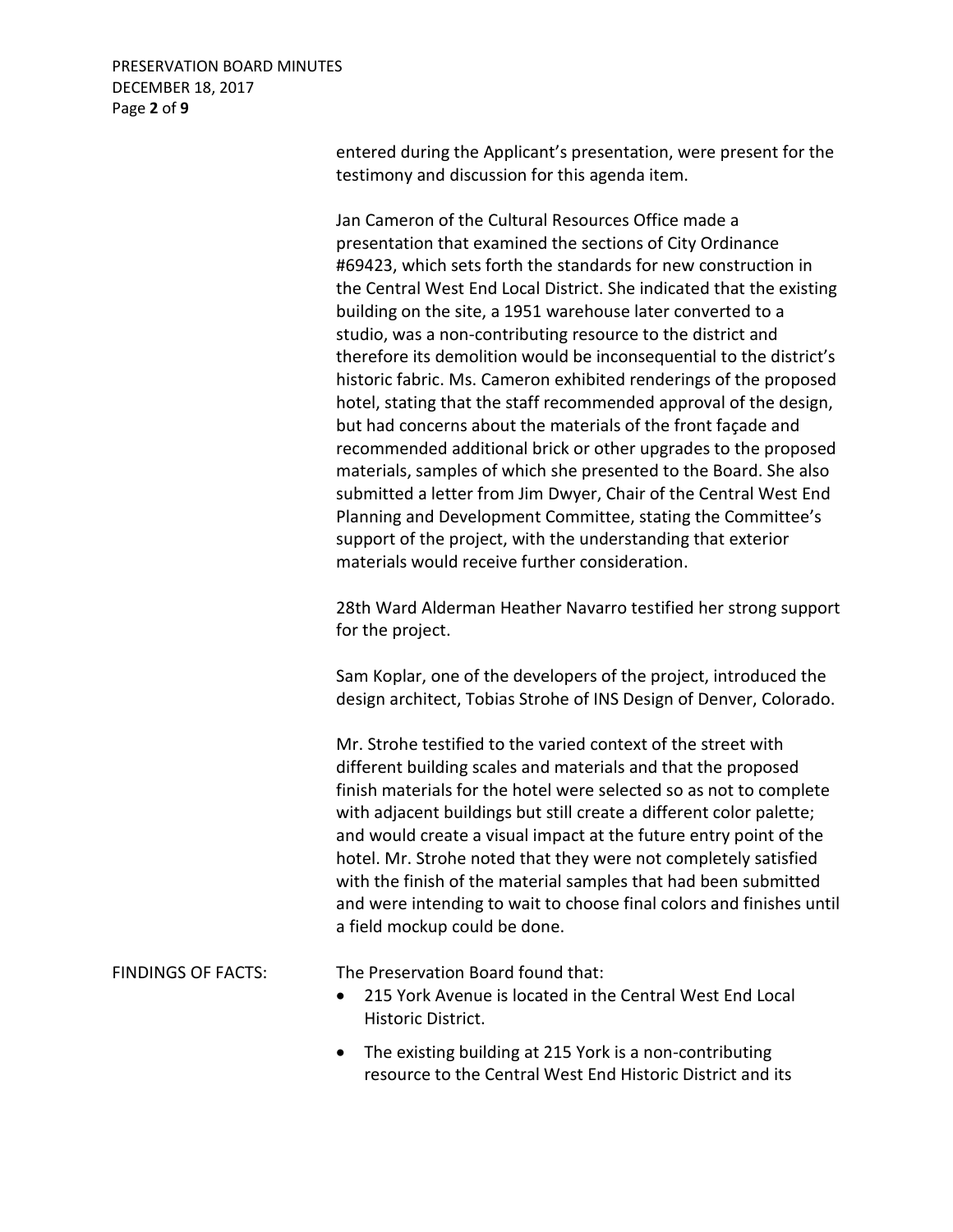PRESERVATION BOARD MINUTES DECEMBER 18, 2017 Page **2** of **9**

> entered during the Applicant's presentation, were present for the testimony and discussion for this agenda item.

> Jan Cameron of the Cultural Resources Office made a presentation that examined the sections of City Ordinance #69423, which sets forth the standards for new construction in the Central West End Local District. She indicated that the existing building on the site, a 1951 warehouse later converted to a studio, was a non-contributing resource to the district and therefore its demolition would be inconsequential to the district's historic fabric. Ms. Cameron exhibited renderings of the proposed hotel, stating that the staff recommended approval of the design, but had concerns about the materials of the front façade and recommended additional brick or other upgrades to the proposed materials, samples of which she presented to the Board. She also submitted a letter from Jim Dwyer, Chair of the Central West End Planning and Development Committee, stating the Committee's support of the project, with the understanding that exterior materials would receive further consideration.

> 28th Ward Alderman Heather Navarro testified her strong support for the project.

Sam Koplar, one of the developers of the project, introduced the design architect, Tobias Strohe of INS Design of Denver, Colorado.

Mr. Strohe testified to the varied context of the street with different building scales and materials and that the proposed finish materials for the hotel were selected so as not to complete with adjacent buildings but still create a different color palette; and would create a visual impact at the future entry point of the hotel. Mr. Strohe noted that they were not completely satisfied with the finish of the material samples that had been submitted and were intending to wait to choose final colors and finishes until a field mockup could be done.

FINDINGS OF FACTS: The Preservation Board found that:

- 215 York Avenue is located in the Central West End Local Historic District.
- The existing building at 215 York is a non-contributing resource to the Central West End Historic District and its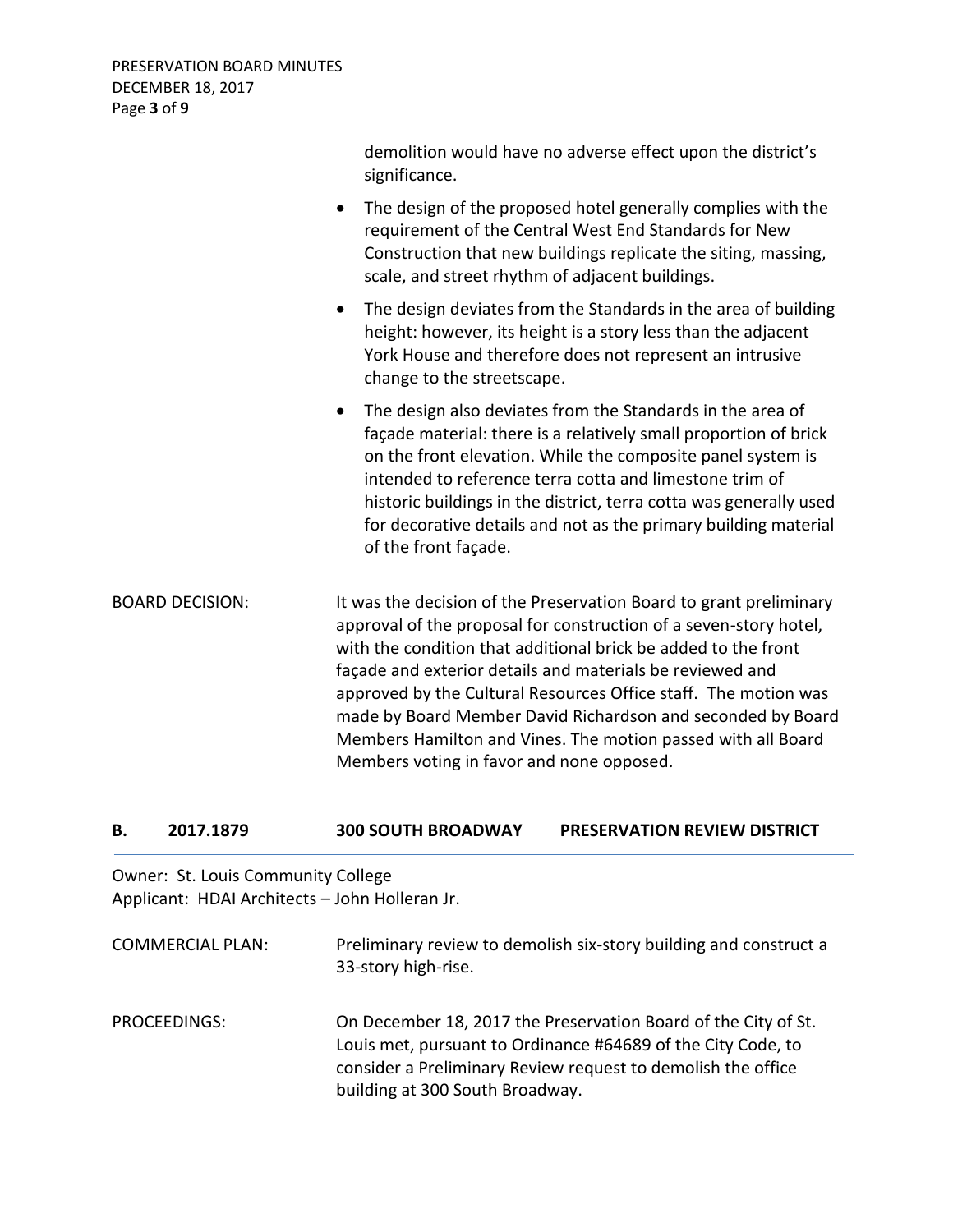|                        | demolition would have no adverse effect upon the district's<br>significance.                                                                                                                                                                                                                                                                                                                                                                                             |
|------------------------|--------------------------------------------------------------------------------------------------------------------------------------------------------------------------------------------------------------------------------------------------------------------------------------------------------------------------------------------------------------------------------------------------------------------------------------------------------------------------|
|                        | The design of the proposed hotel generally complies with the<br>$\bullet$<br>requirement of the Central West End Standards for New<br>Construction that new buildings replicate the siting, massing,<br>scale, and street rhythm of adjacent buildings.                                                                                                                                                                                                                  |
|                        | The design deviates from the Standards in the area of building<br>$\bullet$<br>height: however, its height is a story less than the adjacent<br>York House and therefore does not represent an intrusive<br>change to the streetscape.                                                                                                                                                                                                                                   |
|                        | The design also deviates from the Standards in the area of<br>$\bullet$<br>façade material: there is a relatively small proportion of brick<br>on the front elevation. While the composite panel system is<br>intended to reference terra cotta and limestone trim of<br>historic buildings in the district, terra cotta was generally used<br>for decorative details and not as the primary building material<br>of the front façade.                                   |
| <b>BOARD DECISION:</b> | It was the decision of the Preservation Board to grant preliminary<br>approval of the proposal for construction of a seven-story hotel,<br>with the condition that additional brick be added to the front<br>façade and exterior details and materials be reviewed and<br>approved by the Cultural Resources Office staff. The motion was<br>made by Board Member David Richardson and seconded by Board<br>Members Hamilton and Vines. The motion passed with all Board |

## **B. 2017.1879 300 SOUTH BROADWAY PRESERVATION REVIEW DISTRICT**

Members voting in favor and none opposed.

Owner: St. Louis Community College Applicant: HDAI Architects – John Holleran Jr.

| <b>COMMERCIAL PLAN:</b> | Preliminary review to demolish six-story building and construct a<br>33-story high-rise.                                                                                                                                          |
|-------------------------|-----------------------------------------------------------------------------------------------------------------------------------------------------------------------------------------------------------------------------------|
| PROCEEDINGS:            | On December 18, 2017 the Preservation Board of the City of St.<br>Louis met, pursuant to Ordinance #64689 of the City Code, to<br>consider a Preliminary Review request to demolish the office<br>building at 300 South Broadway. |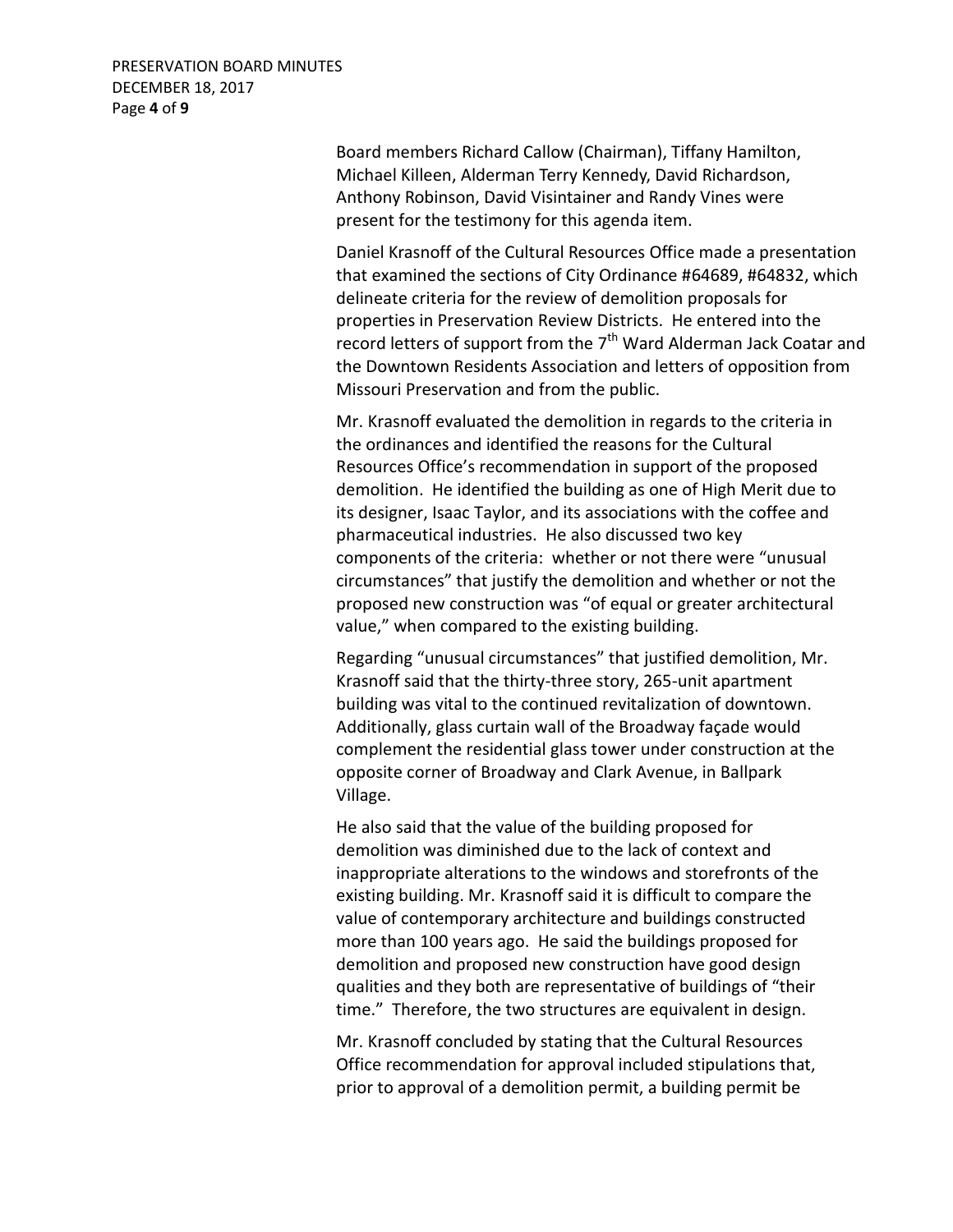Board members Richard Callow (Chairman), Tiffany Hamilton, Michael Killeen, Alderman Terry Kennedy, David Richardson, Anthony Robinson, David Visintainer and Randy Vines were present for the testimony for this agenda item.

Daniel Krasnoff of the Cultural Resources Office made a presentation that examined the sections of City Ordinance #64689, #64832, which delineate criteria for the review of demolition proposals for properties in Preservation Review Districts. He entered into the record letters of support from the  $7<sup>th</sup>$  Ward Alderman Jack Coatar and the Downtown Residents Association and letters of opposition from Missouri Preservation and from the public.

Mr. Krasnoff evaluated the demolition in regards to the criteria in the ordinances and identified the reasons for the Cultural Resources Office's recommendation in support of the proposed demolition. He identified the building as one of High Merit due to its designer, Isaac Taylor, and its associations with the coffee and pharmaceutical industries. He also discussed two key components of the criteria: whether or not there were "unusual circumstances" that justify the demolition and whether or not the proposed new construction was "of equal or greater architectural value," when compared to the existing building.

Regarding "unusual circumstances" that justified demolition, Mr. Krasnoff said that the thirty-three story, 265-unit apartment building was vital to the continued revitalization of downtown. Additionally, glass curtain wall of the Broadway façade would complement the residential glass tower under construction at the opposite corner of Broadway and Clark Avenue, in Ballpark Village.

He also said that the value of the building proposed for demolition was diminished due to the lack of context and inappropriate alterations to the windows and storefronts of the existing building. Mr. Krasnoff said it is difficult to compare the value of contemporary architecture and buildings constructed more than 100 years ago. He said the buildings proposed for demolition and proposed new construction have good design qualities and they both are representative of buildings of "their time." Therefore, the two structures are equivalent in design.

Mr. Krasnoff concluded by stating that the Cultural Resources Office recommendation for approval included stipulations that, prior to approval of a demolition permit, a building permit be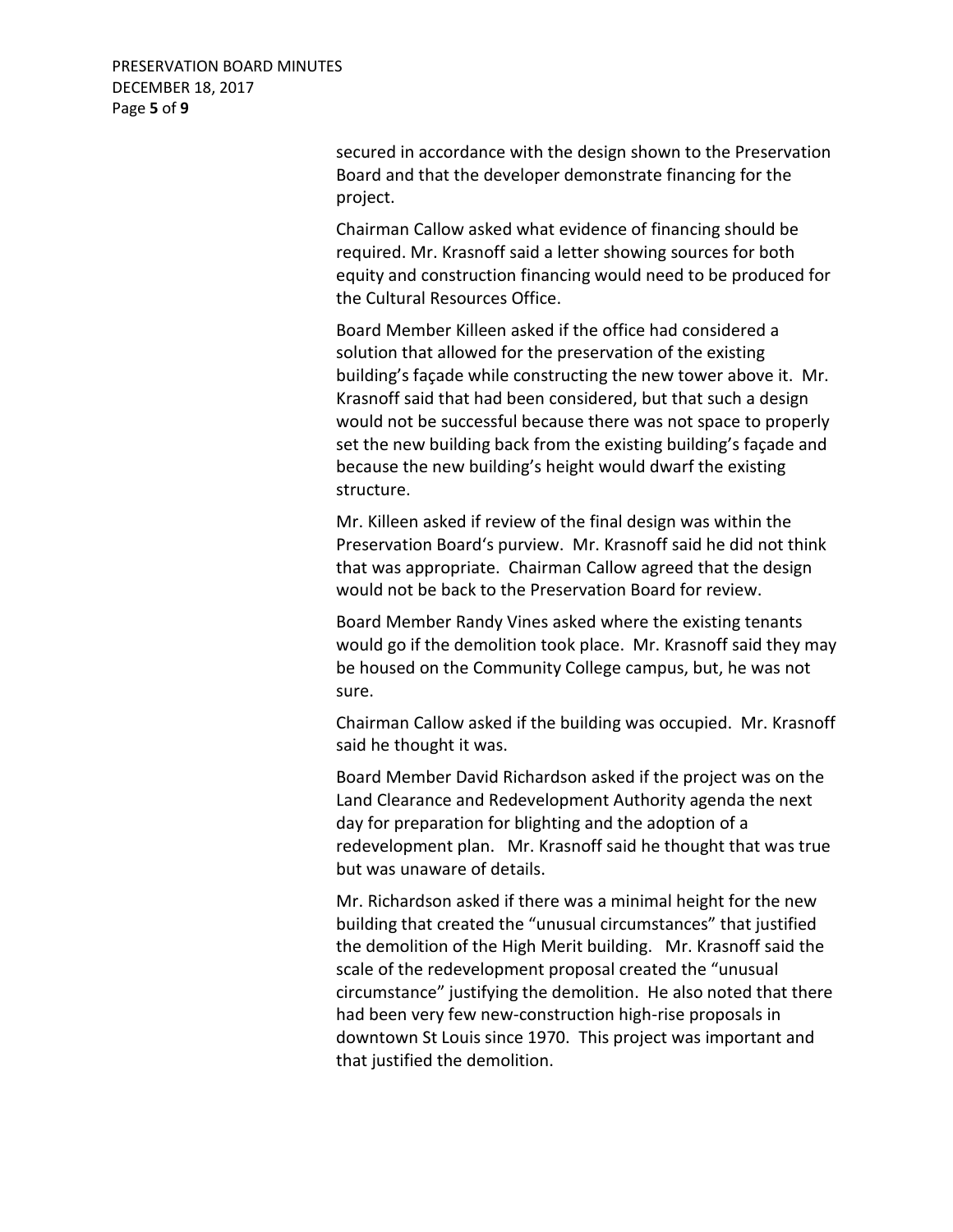secured in accordance with the design shown to the Preservation Board and that the developer demonstrate financing for the project.

Chairman Callow asked what evidence of financing should be required. Mr. Krasnoff said a letter showing sources for both equity and construction financing would need to be produced for the Cultural Resources Office.

Board Member Killeen asked if the office had considered a solution that allowed for the preservation of the existing building's façade while constructing the new tower above it. Mr. Krasnoff said that had been considered, but that such a design would not be successful because there was not space to properly set the new building back from the existing building's façade and because the new building's height would dwarf the existing structure.

Mr. Killeen asked if review of the final design was within the Preservation Board's purview. Mr. Krasnoff said he did not think that was appropriate. Chairman Callow agreed that the design would not be back to the Preservation Board for review.

Board Member Randy Vines asked where the existing tenants would go if the demolition took place. Mr. Krasnoff said they may be housed on the Community College campus, but, he was not sure.

Chairman Callow asked if the building was occupied. Mr. Krasnoff said he thought it was.

Board Member David Richardson asked if the project was on the Land Clearance and Redevelopment Authority agenda the next day for preparation for blighting and the adoption of a redevelopment plan. Mr. Krasnoff said he thought that was true but was unaware of details.

Mr. Richardson asked if there was a minimal height for the new building that created the "unusual circumstances" that justified the demolition of the High Merit building. Mr. Krasnoff said the scale of the redevelopment proposal created the "unusual circumstance" justifying the demolition. He also noted that there had been very few new-construction high-rise proposals in downtown St Louis since 1970. This project was important and that justified the demolition.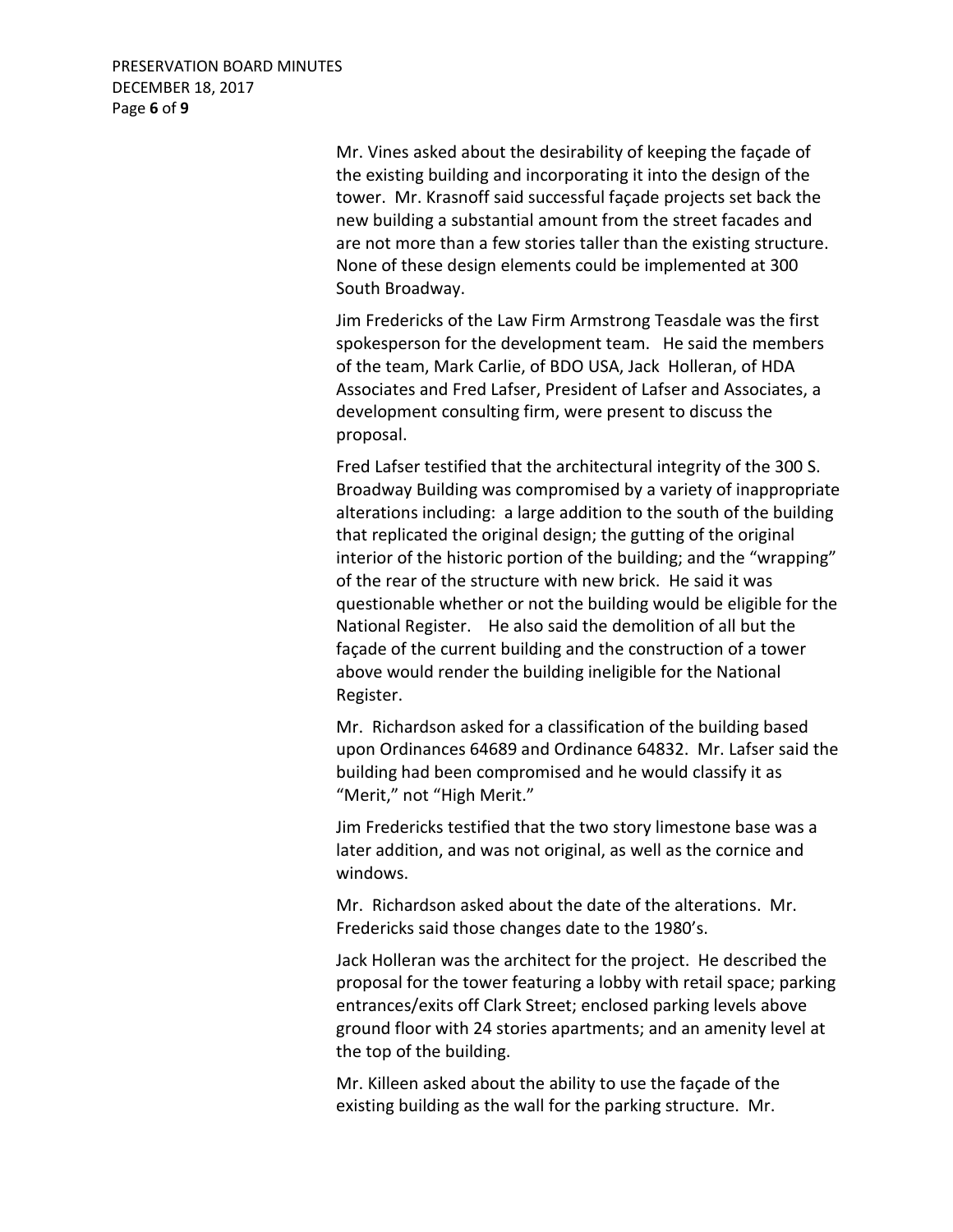PRESERVATION BOARD MINUTES DECEMBER 18, 2017 Page **6** of **9**

> Mr. Vines asked about the desirability of keeping the façade of the existing building and incorporating it into the design of the tower. Mr. Krasnoff said successful façade projects set back the new building a substantial amount from the street facades and are not more than a few stories taller than the existing structure. None of these design elements could be implemented at 300 South Broadway.

> Jim Fredericks of the Law Firm Armstrong Teasdale was the first spokesperson for the development team. He said the members of the team, Mark Carlie, of BDO USA, Jack Holleran, of HDA Associates and Fred Lafser, President of Lafser and Associates, a development consulting firm, were present to discuss the proposal.

Fred Lafser testified that the architectural integrity of the 300 S. Broadway Building was compromised by a variety of inappropriate alterations including: a large addition to the south of the building that replicated the original design; the gutting of the original interior of the historic portion of the building; and the "wrapping" of the rear of the structure with new brick. He said it was questionable whether or not the building would be eligible for the National Register. He also said the demolition of all but the façade of the current building and the construction of a tower above would render the building ineligible for the National Register.

Mr. Richardson asked for a classification of the building based upon Ordinances 64689 and Ordinance 64832. Mr. Lafser said the building had been compromised and he would classify it as "Merit," not "High Merit."

Jim Fredericks testified that the two story limestone base was a later addition, and was not original, as well as the cornice and windows.

Mr. Richardson asked about the date of the alterations. Mr. Fredericks said those changes date to the 1980's.

Jack Holleran was the architect for the project. He described the proposal for the tower featuring a lobby with retail space; parking entrances/exits off Clark Street; enclosed parking levels above ground floor with 24 stories apartments; and an amenity level at the top of the building.

Mr. Killeen asked about the ability to use the façade of the existing building as the wall for the parking structure. Mr.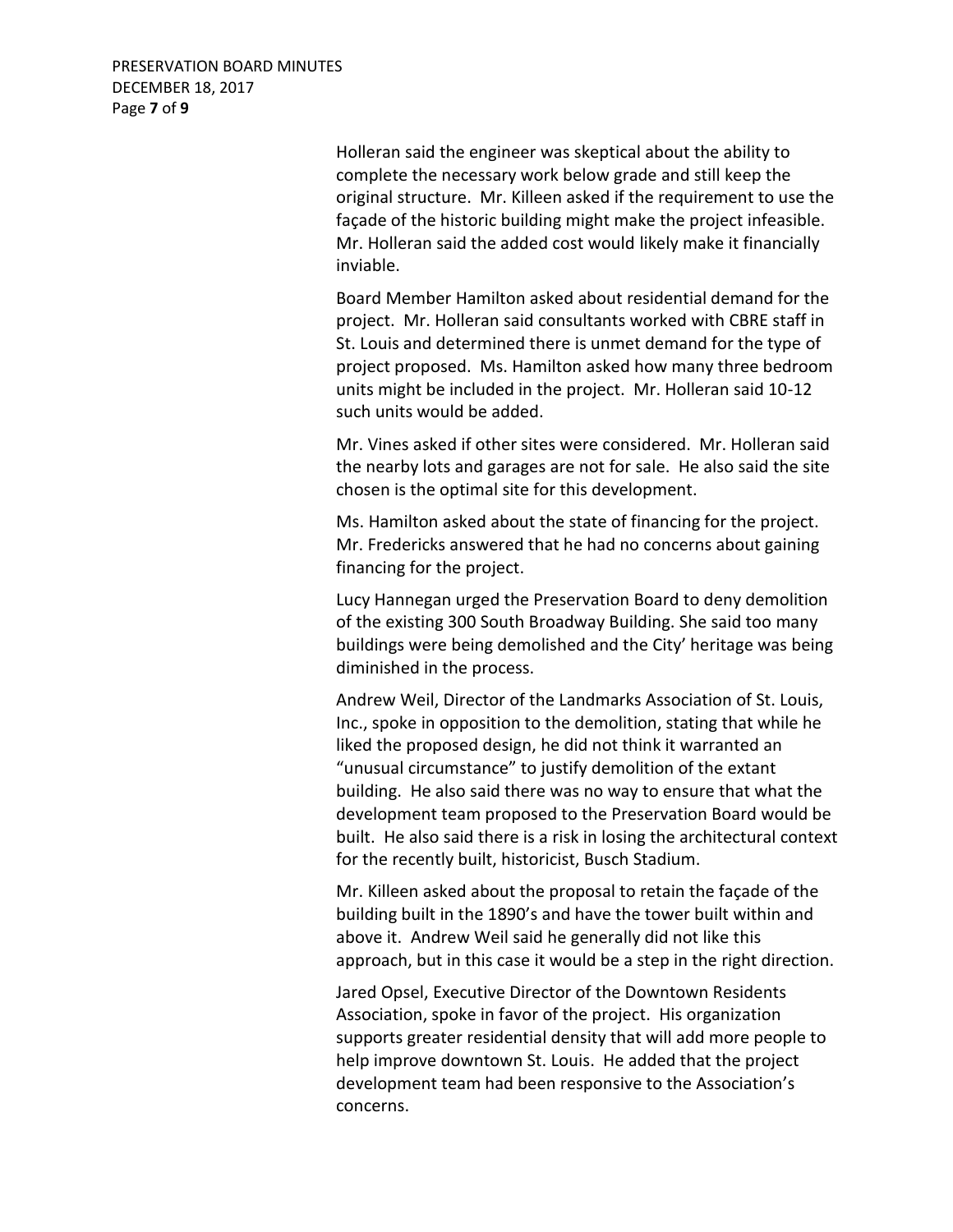Holleran said the engineer was skeptical about the ability to complete the necessary work below grade and still keep the original structure. Mr. Killeen asked if the requirement to use the façade of the historic building might make the project infeasible. Mr. Holleran said the added cost would likely make it financially inviable.

Board Member Hamilton asked about residential demand for the project. Mr. Holleran said consultants worked with CBRE staff in St. Louis and determined there is unmet demand for the type of project proposed. Ms. Hamilton asked how many three bedroom units might be included in the project. Mr. Holleran said 10-12 such units would be added.

Mr. Vines asked if other sites were considered. Mr. Holleran said the nearby lots and garages are not for sale. He also said the site chosen is the optimal site for this development.

Ms. Hamilton asked about the state of financing for the project. Mr. Fredericks answered that he had no concerns about gaining financing for the project.

Lucy Hannegan urged the Preservation Board to deny demolition of the existing 300 South Broadway Building. She said too many buildings were being demolished and the City' heritage was being diminished in the process.

Andrew Weil, Director of the Landmarks Association of St. Louis, Inc., spoke in opposition to the demolition, stating that while he liked the proposed design, he did not think it warranted an "unusual circumstance" to justify demolition of the extant building. He also said there was no way to ensure that what the development team proposed to the Preservation Board would be built. He also said there is a risk in losing the architectural context for the recently built, historicist, Busch Stadium.

Mr. Killeen asked about the proposal to retain the façade of the building built in the 1890's and have the tower built within and above it. Andrew Weil said he generally did not like this approach, but in this case it would be a step in the right direction.

Jared Opsel, Executive Director of the Downtown Residents Association, spoke in favor of the project. His organization supports greater residential density that will add more people to help improve downtown St. Louis. He added that the project development team had been responsive to the Association's concerns.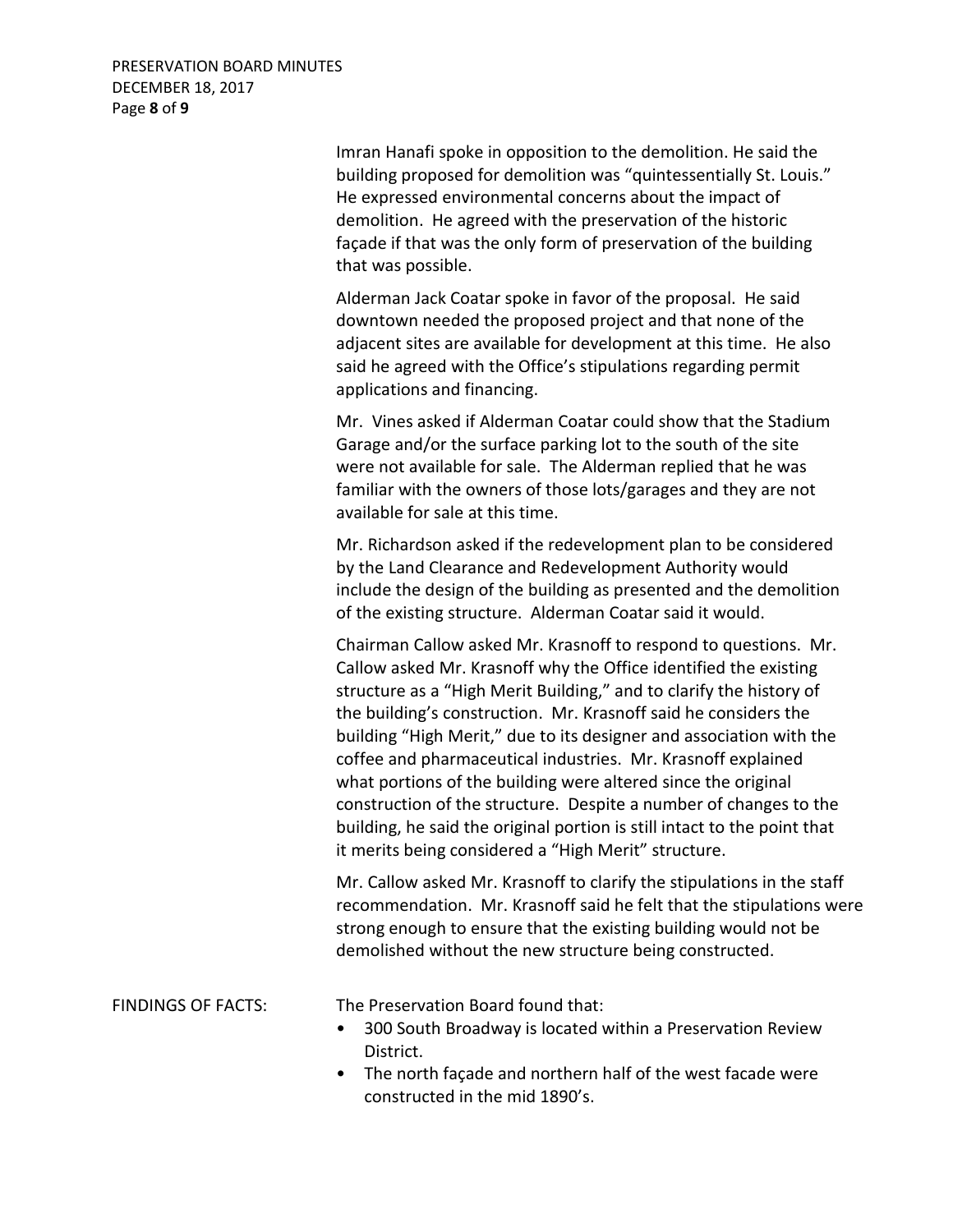PRESERVATION BOARD MINUTES DECEMBER 18, 2017 Page **8** of **9**

> Imran Hanafi spoke in opposition to the demolition. He said the building proposed for demolition was "quintessentially St. Louis." He expressed environmental concerns about the impact of demolition. He agreed with the preservation of the historic façade if that was the only form of preservation of the building that was possible.

> Alderman Jack Coatar spoke in favor of the proposal. He said downtown needed the proposed project and that none of the adjacent sites are available for development at this time. He also said he agreed with the Office's stipulations regarding permit applications and financing.

> Mr. Vines asked if Alderman Coatar could show that the Stadium Garage and/or the surface parking lot to the south of the site were not available for sale. The Alderman replied that he was familiar with the owners of those lots/garages and they are not available for sale at this time.

Mr. Richardson asked if the redevelopment plan to be considered by the Land Clearance and Redevelopment Authority would include the design of the building as presented and the demolition of the existing structure. Alderman Coatar said it would.

Chairman Callow asked Mr. Krasnoff to respond to questions. Mr. Callow asked Mr. Krasnoff why the Office identified the existing structure as a "High Merit Building," and to clarify the history of the building's construction. Mr. Krasnoff said he considers the building "High Merit," due to its designer and association with the coffee and pharmaceutical industries. Mr. Krasnoff explained what portions of the building were altered since the original construction of the structure. Despite a number of changes to the building, he said the original portion is still intact to the point that it merits being considered a "High Merit" structure.

Mr. Callow asked Mr. Krasnoff to clarify the stipulations in the staff recommendation. Mr. Krasnoff said he felt that the stipulations were strong enough to ensure that the existing building would not be demolished without the new structure being constructed.

FINDINGS OF FACTS: The Preservation Board found that:

- 300 South Broadway is located within a Preservation Review District.
- The north façade and northern half of the west facade were constructed in the mid 1890's.